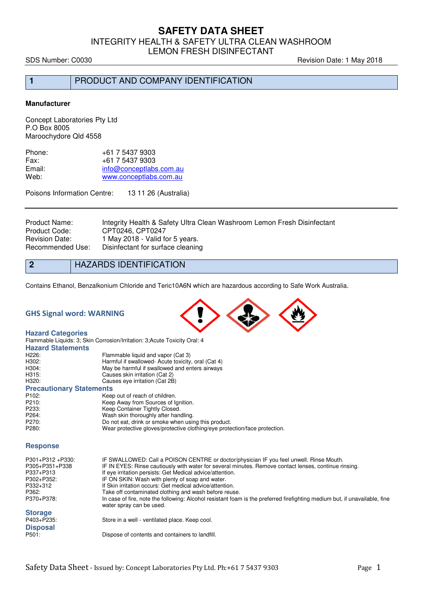INTEGRITY HEALTH & SAFETY ULTRA CLEAN WASHROOM

LEMON FRESH DISINFECTANT

SDS Number: C0030 **Revision Date: 1 May 2018** 

**1** PRODUCT AND COMPANY IDENTIFICATION

### **Manufacturer**

Concept Laboratories Pty Ltd P.O Box 8005 Maroochydore Qld 4558

| +61 7 5437 9303         |
|-------------------------|
| $+61$ 7 5437 9303       |
| info@conceptlabs.com.au |
| www.conceptlabs.com.au  |
|                         |

Poisons Information Centre: 13 11 26 (Australia)

Product Name: Integrity Health & Safety Ultra Clean Washroom Lemon Fresh Disinfectant<br>Product Code: CPT0246. CPT0247 Product Code: CPT0246, CPT0247<br>Revision Date: 1 May 2018 - Valid fo Revision Date: 1 May 2018 - Valid for 5 years.<br>Recommended Use: Disinfectant for surface cleanin Disinfectant for surface cleaning

**2** HAZARDS IDENTIFICATION

Contains Ethanol, Benzalkonium Chloride and Teric10A6N which are hazardous according to Safe Work Australia.

## **GHS Signal word: WARNING**

### **Hazard Categories**

|                                 | Flammable Liquids: 3; Skin Corrosion/Irritation: 3; Acute Toxicity Oral: 4 |
|---------------------------------|----------------------------------------------------------------------------|
| <b>Hazard Statements</b>        |                                                                            |
| H <sub>226</sub> :              | Flammable liquid and vapor (Cat 3)                                         |
| H302:                           | Harmful if swallowed- Acute toxicity, oral (Cat 4)                         |
| H304:                           | May be harmful if swallowed and enters airways                             |
| H315:                           | Causes skin irritation (Cat 2)                                             |
| H320:                           | Causes eye irritation (Cat 2B)                                             |
| <b>Precautionary Statements</b> |                                                                            |
| P <sub>102</sub> :              | Keep out of reach of children.                                             |
| P210:                           | Keep Away from Sources of Ignition.                                        |
| P233:                           | Keep Container Tightly Closed.                                             |
| P264:                           | Wash skin thoroughly after handling.                                       |
| P270:                           | Do not eat, drink or smoke when using this product.                        |
| P280:                           | Wear protective gloves/protective clothing/eve protection/face protection. |

#### **Response**

| P301+P312+P330:<br>P305+P351+P338<br>P337+P313<br>P302+P352:<br>P332+312<br>P362:<br>P370+P378: | IF SWALLOWED: Call a POISON CENTRE or doctor/physician IF you feel unwell. Rinse Mouth.<br>IF IN EYES: Rinse cautiously with water for several minutes. Remove contact lenses, continue rinsing.<br>If eye irritation persists: Get Medical advice/attention.<br>IF ON SKIN: Wash with plenty of soap and water.<br>If Skin irritation occurs: Get medical advice/attention.<br>Take off contaminated clothing and wash before reuse.<br>In case of fire, note the following: Alcohol resistant foam is the preferred firefighting medium but, if unavailable, fine<br>water spray can be used. |
|-------------------------------------------------------------------------------------------------|-------------------------------------------------------------------------------------------------------------------------------------------------------------------------------------------------------------------------------------------------------------------------------------------------------------------------------------------------------------------------------------------------------------------------------------------------------------------------------------------------------------------------------------------------------------------------------------------------|
| <b>Storage</b><br>P403+P235:                                                                    | Store in a well - ventilated place. Keep cool.                                                                                                                                                                                                                                                                                                                                                                                                                                                                                                                                                  |
| <b>Disposal</b>                                                                                 |                                                                                                                                                                                                                                                                                                                                                                                                                                                                                                                                                                                                 |
| P501:                                                                                           | Dispose of contents and containers to landfill.                                                                                                                                                                                                                                                                                                                                                                                                                                                                                                                                                 |

Wear protective gloves/protective clothing/eye protection/face protection.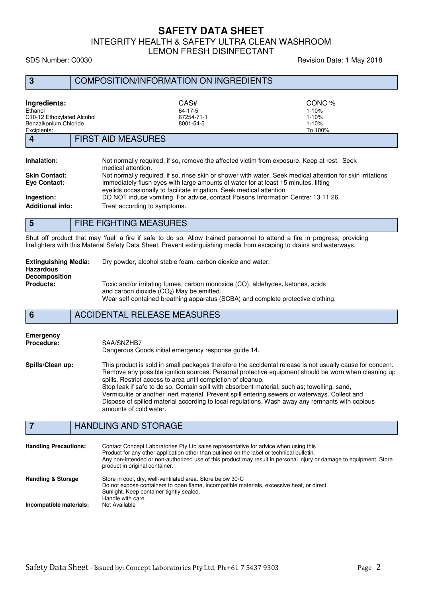INTEGRITY HEALTH & SAFETY ULTRA CLEAN WASHROOM

LEMON FRESH DISINFECTANT

SDS Number: C0030 **Revision Date: 1 May 2018** 

| 3                                                                                             | <b>COMPOSITION/INFORMATION ON INGREDIENTS</b>                                                                                                                                                                                                                                                                                                                                                                                                                                                                       |                                                          |
|-----------------------------------------------------------------------------------------------|---------------------------------------------------------------------------------------------------------------------------------------------------------------------------------------------------------------------------------------------------------------------------------------------------------------------------------------------------------------------------------------------------------------------------------------------------------------------------------------------------------------------|----------------------------------------------------------|
| Ingredients:<br>Ethanol<br>C10-12 Ethoxylated Alcohol<br>Benzalkonium Chloride<br>Excipients: | CAS#<br>64-17-5<br>67254-71-1<br>8001-54-5                                                                                                                                                                                                                                                                                                                                                                                                                                                                          | CONC %<br>$1 - 10%$<br>$1 - 10%$<br>$1 - 10%$<br>To 100% |
| $\boldsymbol{4}$                                                                              | <b>FIRST AID MEASURES</b>                                                                                                                                                                                                                                                                                                                                                                                                                                                                                           |                                                          |
| Inhalation:<br><b>Skin Contact:</b><br>Eye Contact:<br>Ingestion:<br><b>Additional info:</b>  | Not normally required, if so, remove the affected victim from exposure. Keep at rest. Seek<br>medical attention.<br>Not normally required, if so, rinse skin or shower with water. Seek medical attention for skin irritations<br>Immediately flush eyes with large amounts of water for at least 15 minutes, lifting<br>evelids occasionally to facilitate irrigation. Seek medical attention<br>DO NOT induce vomiting. For advice, contact Poisons Information Centre: 13 11 26.<br>Treat according to symptoms. |                                                          |
| $5\phantom{1}$                                                                                | <b>FIRE FIGHTING MEASURES</b>                                                                                                                                                                                                                                                                                                                                                                                                                                                                                       |                                                          |
|                                                                                               | Shut off product that may 'fuel' a fire if safe to do so. Allow trained personnel to attend a fire in progress providing                                                                                                                                                                                                                                                                                                                                                                                            |                                                          |

Shut off product that may 'fuel' a fire if safe to do so. Allow trained personnel to attend a fire in progress, providing firefighters with this Material Safety Data Sheet. Prevent extinguishing media from escaping to drains and waterways.

| <b>Extinguishing Media:</b><br>Hazardous<br><b>Decomposition</b> | Dry powder, alcohol stable foam, carbon dioxide and water.                                                                                                                                                       |
|------------------------------------------------------------------|------------------------------------------------------------------------------------------------------------------------------------------------------------------------------------------------------------------|
| <b>Products:</b>                                                 | Toxic and/or irritating fumes, carbon monoxide (CO), aldehydes, ketones, acids<br>and carbon dioxide $(CO2)$ May be emitted.<br>Wear self-contained breathing apparatus (SCBA) and complete protective clothing. |

**6** ACCIDENTAL RELEASE MEASURES

| Emergency         | SAA/SNZHB7                                                                                                                                                                                                                                                                                                                                                                                                                                                                                                                                                                                                      |
|-------------------|-----------------------------------------------------------------------------------------------------------------------------------------------------------------------------------------------------------------------------------------------------------------------------------------------------------------------------------------------------------------------------------------------------------------------------------------------------------------------------------------------------------------------------------------------------------------------------------------------------------------|
| <b>Procedure:</b> | Dangerous Goods initial emergency response quide 14.                                                                                                                                                                                                                                                                                                                                                                                                                                                                                                                                                            |
| Spills/Clean up:  | This product is sold in small packages therefore the accidental release is not usually cause for concern.<br>Remove any possible ignition sources. Personal protective equipment should be worn when cleaning up<br>spills. Restrict access to area until completion of cleanup.<br>Stop leak if safe to do so. Contain spill with absorbent material, such as; towelling, sand,<br>Vermiculite or another inert material. Prevent spill entering sewers or waterways. Collect and<br>Dispose of spilled material according to local regulations. Wash away any remnants with copious<br>amounts of cold water. |

# **7 HANDLING AND STORAGE**

| <b>Handling Precautions:</b>                             | Contact Concept Laboratories Pty Ltd sales representative for advice when using this<br>Product for any other application other than outlined on the label or technical bulletin.<br>Any non-intended or non-authorized use of this product may result in personal injury or damage to equipment. Store<br>product in original container. |
|----------------------------------------------------------|-------------------------------------------------------------------------------------------------------------------------------------------------------------------------------------------------------------------------------------------------------------------------------------------------------------------------------------------|
| <b>Handling &amp; Storage</b><br>Incompatible materials: | Store in cool, dry, well-ventilated area. Store below 30 °C<br>Do not expose containers to open flame, incompatible materials, excessive heat, or direct<br>Sunlight. Keep container tightly sealed.<br>Handle with care.<br>Not Available                                                                                                |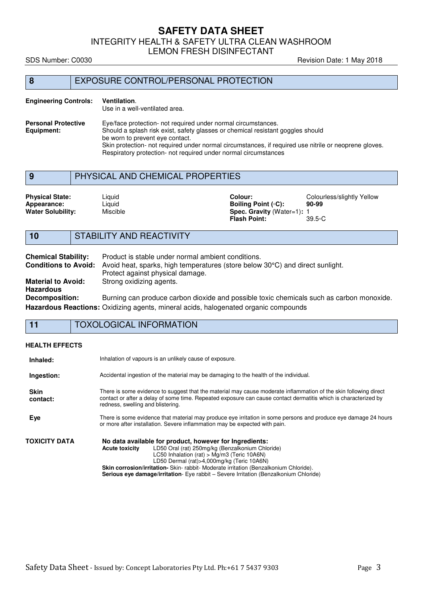INTEGRITY HEALTH & SAFETY ULTRA CLEAN WASHROOM

LEMON FRESH DISINFECTANT

SDS Number: C0030 **Revision Date: 1 May 2018** 

# **8** EXPOSURE CONTROL/PERSONAL PROTECTION

### **Engineering Controls: Ventilation**. Use in a well-ventilated area. **Personal Protective** Eye/face protection- not required under normal circumstances.<br> **Equipment:** Should a splash risk exist, safety glasses or chemical resistant Should a splash risk exist, safety glasses or chemical resistant goggles should be worn to prevent eye contact. Skin protection- not required under normal circumstances, if required use nitrile or neoprene gloves. Respiratory protection- not required under normal circumstances

# **9** PHYSICAL AND CHEMICAL PROPERTIES

| <b>Physical State:</b><br>Appearance:<br><b>Water Solubility:</b> | Liquid<br>∟iauid<br>Miscible | Colour:<br>Boilina Point (∘C):<br><b>Spec. Gravity (Water=1): 1</b> | Colourless/slightly Yellow<br>90-99 |
|-------------------------------------------------------------------|------------------------------|---------------------------------------------------------------------|-------------------------------------|
|                                                                   |                              | <b>Flash Point:</b>                                                 | $39.5 \circ C$                      |

# **10** STABILITY AND REACTIVITY

| <b>Chemical Stability:</b>  | Product is stable under normal ambient conditions.                                         |
|-----------------------------|--------------------------------------------------------------------------------------------|
| <b>Conditions to Avoid:</b> | Avoid heat, sparks, high temperatures (store below 30°C) and direct sunlight.              |
|                             | Protect against physical damage.                                                           |
| <b>Material to Avoid:</b>   | Strong oxidizing agents.                                                                   |
| <b>Hazardous</b>            |                                                                                            |
| <b>Decomposition:</b>       | Burning can produce carbon dioxide and possible toxic chemicals such as carbon monoxide.   |
|                             | <b>Hazardous Reactions:</b> Oxidizing agents, mineral acids, halogenated organic compounds |

## **11** TOXOLOGICAL INFORMATION

### **HEALTH EFFECTS**

| Inhaled:                | Inhalation of vapours is an unlikely cause of exposure.                                                                                                                                                                                                                                                                                                                                                                      |
|-------------------------|------------------------------------------------------------------------------------------------------------------------------------------------------------------------------------------------------------------------------------------------------------------------------------------------------------------------------------------------------------------------------------------------------------------------------|
| Ingestion:              | Accidental ingestion of the material may be damaging to the health of the individual.                                                                                                                                                                                                                                                                                                                                        |
| <b>Skin</b><br>contact: | There is some evidence to suggest that the material may cause moderate inflammation of the skin following direct<br>contact or after a delay of some time. Repeated exposure can cause contact dermatitis which is characterized by<br>redness, swelling and blistering.                                                                                                                                                     |
| Eye                     | There is some evidence that material may produce eye irritation in some persons and produce eye damage 24 hours<br>or more after installation. Severe inflammation may be expected with pain.                                                                                                                                                                                                                                |
| TOXICITY DATA           | No data available for product, however for Ingredients:<br>LD50 Oral (rat) 250mg/kg (Benzalkonium Chloride)<br><b>Acute toxicity</b><br>LC50 Inhalation (rat) > $Mq/m3$ (Teric 10A6N)<br>LD50 Dermal (rat)>4,000mg/kg (Teric 10A6N)<br><b>Skin corrosion/irritation-</b> Skin- rabbit- Moderate irritation (Benzalkonium Chloride).<br>Serious eye damage/irritation- Eye rabbit - Severe Irritation (Benzalkonium Chloride) |